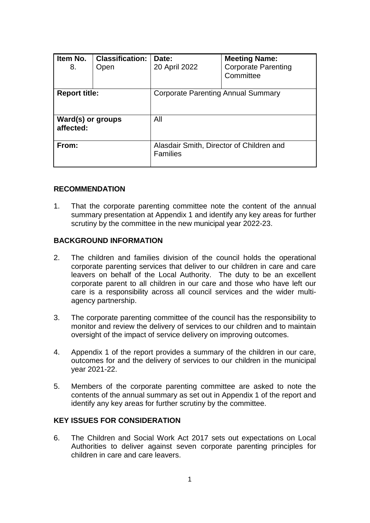| Item No.<br>8.                        | <b>Classification:</b><br>Open | Date:<br>20 April 2022                                      | <b>Meeting Name:</b><br><b>Corporate Parenting</b><br>Committee |  |
|---------------------------------------|--------------------------------|-------------------------------------------------------------|-----------------------------------------------------------------|--|
| <b>Report title:</b>                  |                                | Corporate Parenting Annual Summary                          |                                                                 |  |
| <b>Ward(s) or groups</b><br>affected: |                                | All                                                         |                                                                 |  |
| From:                                 |                                | Alasdair Smith, Director of Children and<br><b>Families</b> |                                                                 |  |

#### **RECOMMENDATION**

1. That the corporate parenting committee note the content of the annual summary presentation at Appendix 1 and identify any key areas for further scrutiny by the committee in the new municipal year 2022-23.

#### **BACKGROUND INFORMATION**

- 2. The children and families division of the council holds the operational corporate parenting services that deliver to our children in care and care leavers on behalf of the Local Authority. The duty to be an excellent corporate parent to all children in our care and those who have left our care is a responsibility across all council services and the wider multiagency partnership.
- 3. The corporate parenting committee of the council has the responsibility to monitor and review the delivery of services to our children and to maintain oversight of the impact of service delivery on improving outcomes.
- 4. Appendix 1 of the report provides a summary of the children in our care, outcomes for and the delivery of services to our children in the municipal year 2021-22.
- 5. Members of the corporate parenting committee are asked to note the contents of the annual summary as set out in Appendix 1 of the report and identify any key areas for further scrutiny by the committee.

#### **KEY ISSUES FOR CONSIDERATION**

6. The Children and Social Work Act 2017 sets out expectations on Local Authorities to deliver against seven corporate parenting principles for children in care and care leavers.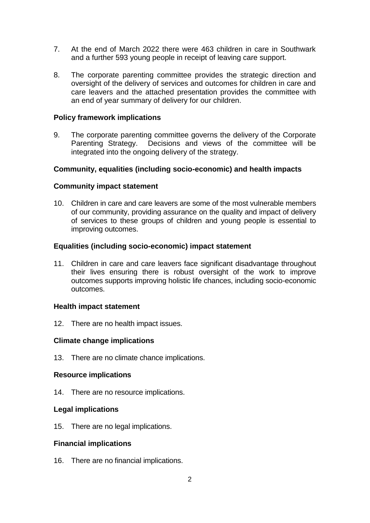- 7. At the end of March 2022 there were 463 children in care in Southwark and a further 593 young people in receipt of leaving care support.
- 8. The corporate parenting committee provides the strategic direction and oversight of the delivery of services and outcomes for children in care and care leavers and the attached presentation provides the committee with an end of year summary of delivery for our children.

#### **Policy framework implications**

9. The corporate parenting committee governs the delivery of the Corporate Parenting Strategy. Decisions and views of the committee will be integrated into the ongoing delivery of the strategy.

## **Community, equalities (including socio-economic) and health impacts**

## **Community impact statement**

10. Children in care and care leavers are some of the most vulnerable members of our community, providing assurance on the quality and impact of delivery of services to these groups of children and young people is essential to improving outcomes.

## **Equalities (including socio-economic) impact statement**

11. Children in care and care leavers face significant disadvantage throughout their lives ensuring there is robust oversight of the work to improve outcomes supports improving holistic life chances, including socio-economic outcomes.

#### **Health impact statement**

12. There are no health impact issues.

#### **Climate change implications**

13. There are no climate chance implications.

#### **Resource implications**

14. There are no resource implications.

#### **Legal implications**

15. There are no legal implications.

#### **Financial implications**

16. There are no financial implications.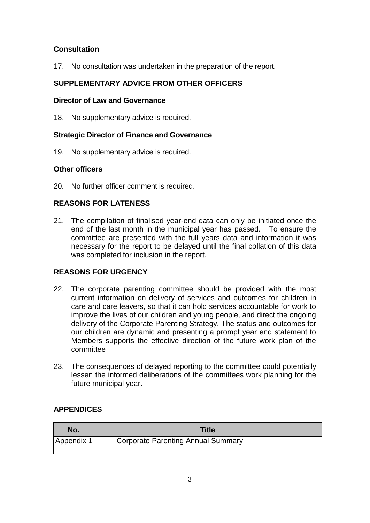# **Consultation**

17. No consultation was undertaken in the preparation of the report.

# **SUPPLEMENTARY ADVICE FROM OTHER OFFICERS**

#### **Director of Law and Governance**

18. No supplementary advice is required.

## **Strategic Director of Finance and Governance**

19. No supplementary advice is required.

## **Other officers**

20. No further officer comment is required.

# **REASONS FOR LATENESS**

21. The compilation of finalised year-end data can only be initiated once the end of the last month in the municipal year has passed. To ensure the committee are presented with the full years data and information it was necessary for the report to be delayed until the final collation of this data was completed for inclusion in the report.

# **REASONS FOR URGENCY**

- 22. The corporate parenting committee should be provided with the most current information on delivery of services and outcomes for children in care and care leavers, so that it can hold services accountable for work to improve the lives of our children and young people, and direct the ongoing delivery of the Corporate Parenting Strategy. The status and outcomes for our children are dynamic and presenting a prompt year end statement to Members supports the effective direction of the future work plan of the committee
- 23. The consequences of delayed reporting to the committee could potentially lessen the informed deliberations of the committees work planning for the future municipal year.

## **APPENDICES**

| No.        | <b>Title</b>                       |
|------------|------------------------------------|
| Appendix 1 | Corporate Parenting Annual Summary |